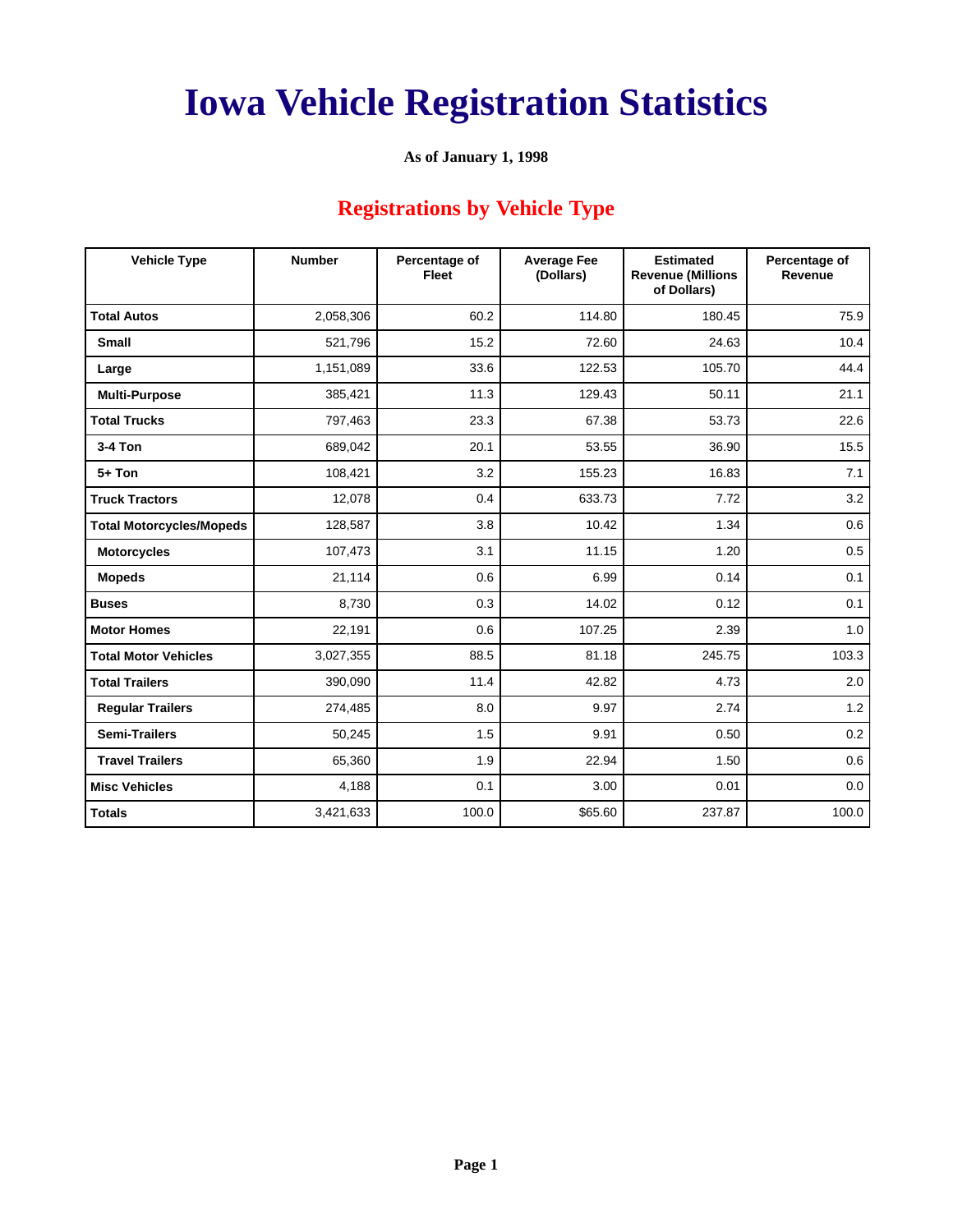#### **As of January 1, 1998**

## **Registrations by Vehicle Type**

| <b>Vehicle Type</b>             | <b>Number</b> | Percentage of<br><b>Fleet</b> | <b>Average Fee</b><br>(Dollars) | <b>Estimated</b><br><b>Revenue (Millions</b><br>of Dollars) | Percentage of<br>Revenue |  |
|---------------------------------|---------------|-------------------------------|---------------------------------|-------------------------------------------------------------|--------------------------|--|
| <b>Total Autos</b>              | 2,058,306     | 60.2                          | 114.80                          | 180.45                                                      | 75.9                     |  |
| <b>Small</b>                    | 521,796       | 15.2                          | 72.60                           | 24.63                                                       | 10.4                     |  |
| Large                           | 1,151,089     | 33.6                          | 122.53                          | 105.70                                                      | 44.4                     |  |
| <b>Multi-Purpose</b>            | 385,421       | 11.3                          | 129.43                          | 50.11                                                       | 21.1                     |  |
| <b>Total Trucks</b>             | 797,463       | 23.3                          | 67.38                           | 53.73                                                       | 22.6                     |  |
| $3-4$ Ton                       | 689,042       | 20.1                          | 53.55                           | 36.90                                                       | 15.5                     |  |
| $5+$ Ton                        | 108,421       | 3.2                           | 155.23                          | 16.83                                                       | 7.1                      |  |
| <b>Truck Tractors</b>           | 12,078        | 0.4                           | 633.73                          | 7.72                                                        | 3.2                      |  |
| <b>Total Motorcycles/Mopeds</b> | 128,587       | 3.8                           | 10.42                           | 1.34                                                        | 0.6                      |  |
| <b>Motorcycles</b>              | 107,473       | 3.1                           | 11.15                           | 1.20                                                        | 0.5                      |  |
| <b>Mopeds</b>                   | 21,114        | 0.6                           | 6.99                            | 0.14                                                        | 0.1                      |  |
| <b>Buses</b>                    | 8,730         | 0.3                           | 14.02                           | 0.12                                                        | 0.1                      |  |
| <b>Motor Homes</b>              | 22,191        | 0.6                           | 107.25                          | 2.39                                                        | 1.0                      |  |
| <b>Total Motor Vehicles</b>     | 3,027,355     | 88.5                          | 81.18                           | 245.75                                                      | 103.3                    |  |
| <b>Total Trailers</b>           | 390,090       | 11.4                          | 42.82                           | 4.73                                                        | 2.0                      |  |
| <b>Regular Trailers</b>         | 274,485       | 8.0                           | 9.97                            | 2.74                                                        | 1.2                      |  |
| <b>Semi-Trailers</b>            | 50,245        | 1.5                           | 9.91                            | 0.50                                                        | 0.2                      |  |
| <b>Travel Trailers</b>          | 65,360        | 1.9                           | 22.94                           | 1.50                                                        | 0.6                      |  |
| <b>Misc Vehicles</b>            | 4,188         | 0.1                           | 3.00                            | 0.01                                                        | 0.0                      |  |
| <b>Totals</b>                   | 3,421,633     | 100.0                         | \$65.60                         | 237.87                                                      | 100.0                    |  |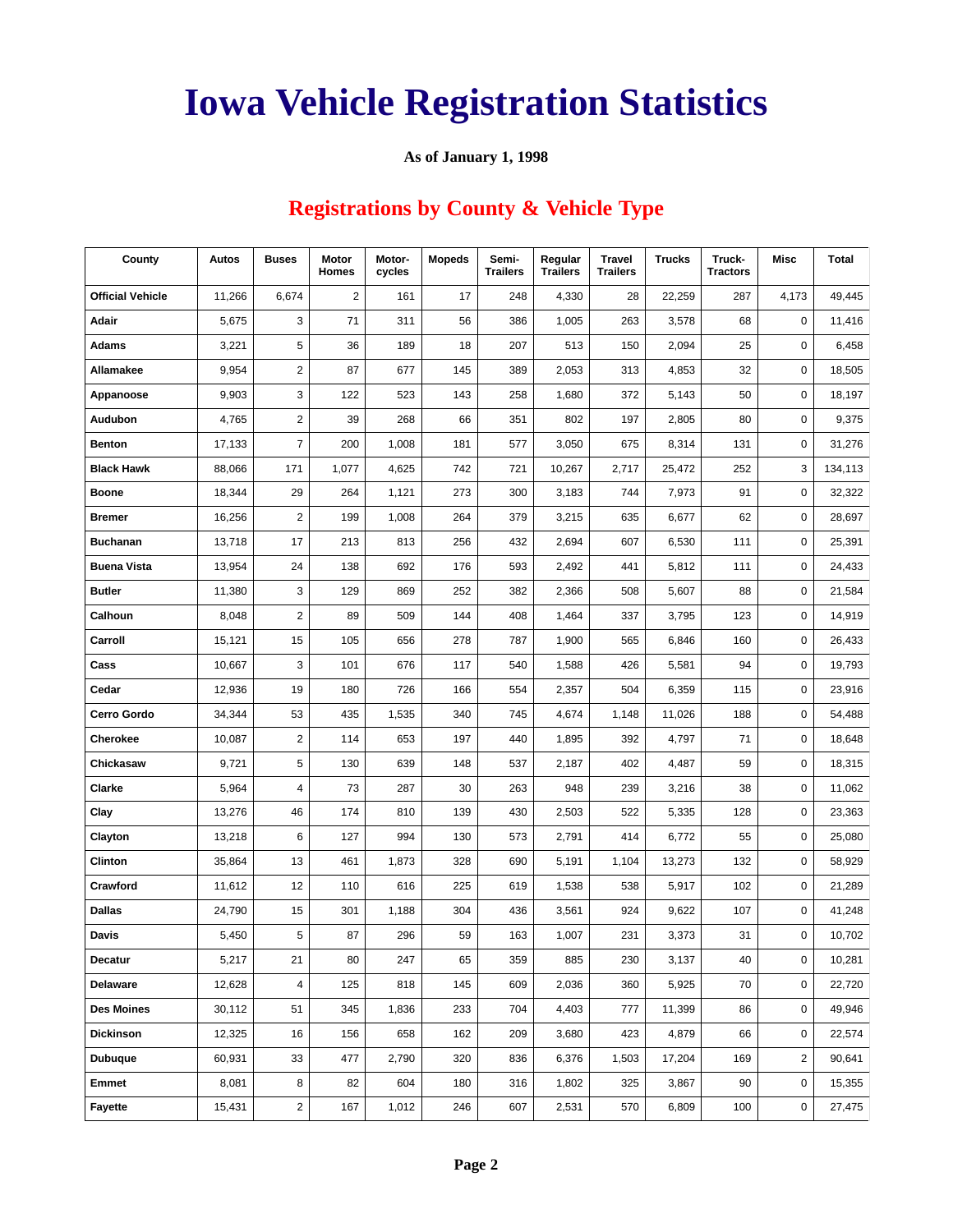#### **As of January 1, 1998**

## **Registrations by County & Vehicle Type**

| County                  | Autos  | <b>Buses</b>            | Motor<br><b>Homes</b> | Motor-<br>cycles | <b>Mopeds</b> | Semi-<br><b>Trailers</b> | Regular<br><b>Trailers</b> | <b>Travel</b><br><b>Trailers</b> | <b>Trucks</b> | Truck-<br><b>Tractors</b> | Misc        | <b>Total</b> |
|-------------------------|--------|-------------------------|-----------------------|------------------|---------------|--------------------------|----------------------------|----------------------------------|---------------|---------------------------|-------------|--------------|
| <b>Official Vehicle</b> | 11,266 | 6,674                   | $\overline{2}$        | 161              | 17            | 248                      | 4,330                      | 28                               | 22,259        | 287                       | 4,173       | 49,445       |
| Adair                   | 5,675  | 3                       | 71                    | 311              | 56            | 386                      | 1,005                      | 263                              | 3,578         | 68                        | 0           | 11,416       |
| <b>Adams</b>            | 3,221  | 5                       | 36                    | 189              | 18            | 207                      | 513                        | 150                              | 2,094         | 25                        | 0           | 6,458        |
| Allamakee               | 9,954  | 2                       | 87                    | 677              | 145           | 389                      | 2,053                      | 313                              | 4,853         | 32                        | 0           | 18,505       |
| Appanoose               | 9,903  | 3                       | 122                   | 523              | 143           | 258                      | 1,680                      | 372                              | 5,143         | 50                        | 0           | 18,197       |
| <b>Audubon</b>          | 4,765  | $\overline{\mathbf{c}}$ | 39                    | 268              | 66            | 351                      | 802                        | 197                              | 2,805         | 80                        | $\mathbf 0$ | 9,375        |
| <b>Benton</b>           | 17,133 | $\overline{7}$          | 200                   | 1,008            | 181           | 577                      | 3,050                      | 675                              | 8,314         | 131                       | 0           | 31,276       |
| <b>Black Hawk</b>       | 88,066 | 171                     | 1,077                 | 4,625            | 742           | 721                      | 10,267                     | 2,717                            | 25,472        | 252                       | 3           | 134,113      |
| <b>Boone</b>            | 18,344 | 29                      | 264                   | 1,121            | 273           | 300                      | 3,183                      | 744                              | 7,973         | 91                        | 0           | 32,322       |
| <b>Bremer</b>           | 16,256 | $\overline{\mathbf{c}}$ | 199                   | 1,008            | 264           | 379                      | 3,215                      | 635                              | 6,677         | 62                        | 0           | 28,697       |
| <b>Buchanan</b>         | 13,718 | 17                      | 213                   | 813              | 256           | 432                      | 2,694                      | 607                              | 6,530         | 111                       | 0           | 25,391       |
| <b>Buena Vista</b>      | 13,954 | 24                      | 138                   | 692              | 176           | 593                      | 2,492                      | 441                              | 5,812         | 111                       | 0           | 24,433       |
| <b>Butler</b>           | 11,380 | 3                       | 129                   | 869              | 252           | 382                      | 2,366                      | 508                              | 5,607         | 88                        | 0           | 21,584       |
| Calhoun                 | 8,048  | $\overline{\mathbf{c}}$ | 89                    | 509              | 144           | 408                      | 1,464                      | 337                              | 3,795         | 123                       | 0           | 14,919       |
| Carroll                 | 15,121 | 15                      | 105                   | 656              | 278           | 787                      | 1,900                      | 565                              | 6,846         | 160                       | 0           | 26,433       |
| Cass                    | 10,667 | 3                       | 101                   | 676              | 117           | 540                      | 1,588                      | 426                              | 5,581         | 94                        | 0           | 19,793       |
| Cedar                   | 12,936 | 19                      | 180                   | 726              | 166           | 554                      | 2,357                      | 504                              | 6,359         | 115                       | 0           | 23,916       |
| <b>Cerro Gordo</b>      | 34,344 | 53                      | 435                   | 1,535            | 340           | 745                      | 4,674                      | 1,148                            | 11,026        | 188                       | 0           | 54,488       |
| Cherokee                | 10,087 | 2                       | 114                   | 653              | 197           | 440                      | 1,895                      | 392                              | 4,797         | 71                        | 0           | 18,648       |
| Chickasaw               | 9,721  | 5                       | 130                   | 639              | 148           | 537                      | 2,187                      | 402                              | 4,487         | 59                        | 0           | 18,315       |
| Clarke                  | 5,964  | 4                       | 73                    | 287              | 30            | 263                      | 948                        | 239                              | 3,216         | 38                        | 0           | 11,062       |
| Clay                    | 13,276 | 46                      | 174                   | 810              | 139           | 430                      | 2,503                      | 522                              | 5,335         | 128                       | 0           | 23,363       |
| Clayton                 | 13,218 | 6                       | 127                   | 994              | 130           | 573                      | 2,791                      | 414                              | 6,772         | 55                        | 0           | 25,080       |
| Clinton                 | 35,864 | 13                      | 461                   | 1,873            | 328           | 690                      | 5,191                      | 1,104                            | 13,273        | 132                       | 0           | 58,929       |
| Crawford                | 11,612 | 12                      | 110                   | 616              | 225           | 619                      | 1,538                      | 538                              | 5,917         | 102                       | 0           | 21,289       |
| <b>Dallas</b>           | 24,790 | 15                      | 301                   | 1,188            | 304           | 436                      | 3,561                      | 924                              | 9,622         | 107                       | 0           | 41,248       |
| Davis                   | 5,450  | 5                       | 87                    | 296              | 59            | 163                      | 1,007                      | 231                              | 3,373         | 31                        | $\mathbf 0$ | 10,702       |
| Decatur                 | 5,217  | 21                      | 80                    | 247              | 65            | 359                      | 885                        | 230                              | 3,137         | 40                        | 0           | 10,281       |
| Delaware                | 12,628 | 4                       | 125                   | 818              | 145           | 609                      | 2,036                      | 360                              | 5,925         | 70                        | 0           | 22,720       |
| <b>Des Moines</b>       | 30,112 | 51                      | 345                   | 1,836            | 233           | 704                      | 4,403                      | 777                              | 11,399        | 86                        | 0           | 49,946       |
| <b>Dickinson</b>        | 12,325 | 16                      | 156                   | 658              | 162           | 209                      | 3,680                      | 423                              | 4,879         | 66                        | 0           | 22,574       |
| <b>Dubuque</b>          | 60,931 | 33                      | 477                   | 2,790            | 320           | 836                      | 6,376                      | 1,503                            | 17,204        | 169                       | 2           | 90,641       |
| <b>Emmet</b>            | 8,081  | 8                       | 82                    | 604              | 180           | 316                      | 1,802                      | 325                              | 3,867         | 90                        | 0           | 15,355       |
| Fayette                 | 15,431 | $\overline{\mathbf{c}}$ | 167                   | 1,012            | 246           | 607                      | 2,531                      | 570                              | 6,809         | 100                       | 0           | 27,475       |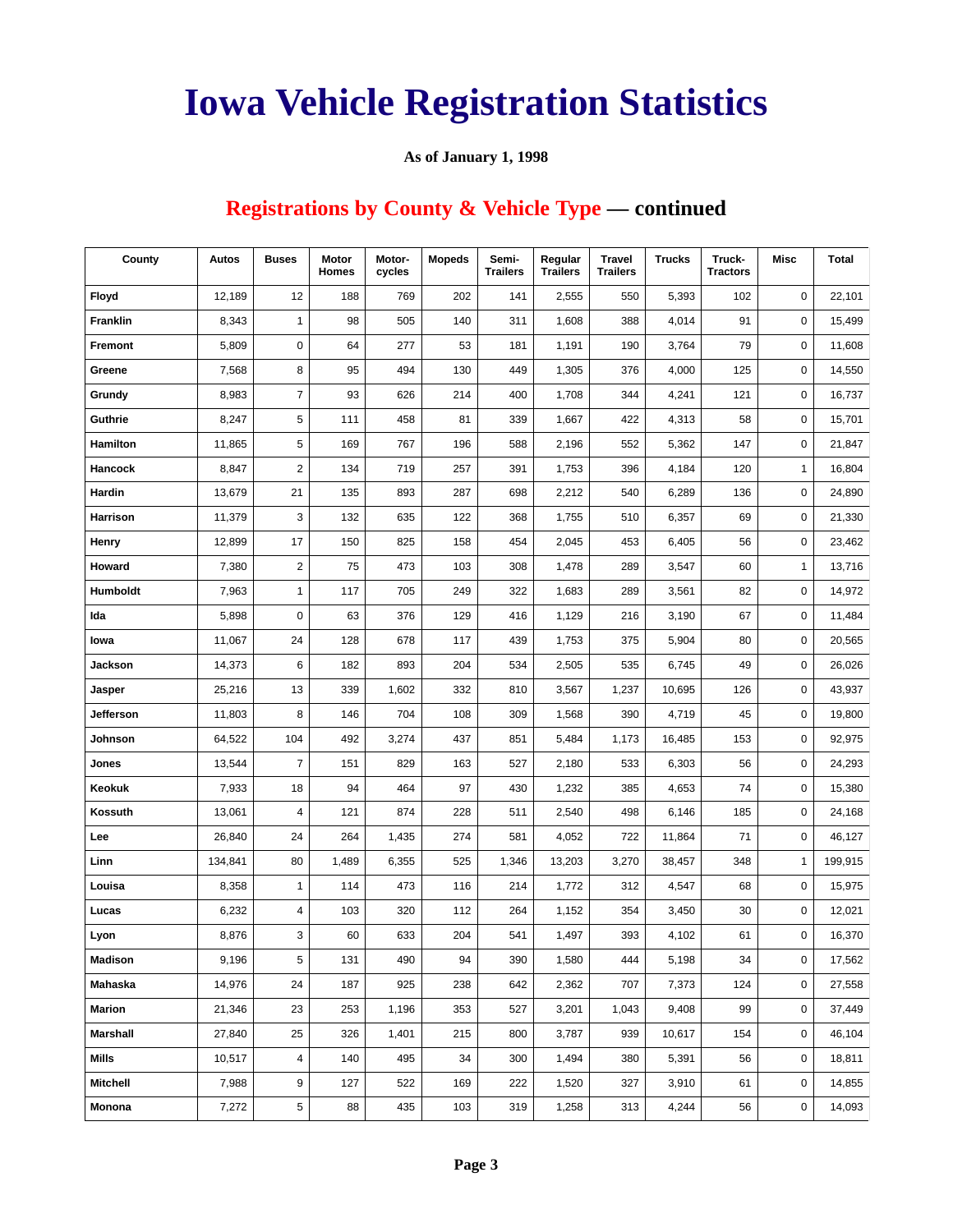#### **As of January 1, 1998**

## **Registrations by County & Vehicle Type — continued**

| County          | Autos   | <b>Buses</b>     | Motor<br><b>Homes</b> | Motor-<br>cycles | <b>Mopeds</b> | Semi-<br><b>Trailers</b> | Regular<br><b>Trailers</b> | <b>Travel</b><br><b>Trailers</b> | <b>Trucks</b> | Truck-<br><b>Tractors</b> | Misc         | <b>Total</b> |
|-----------------|---------|------------------|-----------------------|------------------|---------------|--------------------------|----------------------------|----------------------------------|---------------|---------------------------|--------------|--------------|
| Floyd           | 12,189  | 12               | 188                   | 769              | 202           | 141                      | 2,555                      | 550                              | 5,393         | 102                       | 0            | 22,101       |
| <b>Franklin</b> | 8,343   | $\mathbf{1}$     | 98                    | 505              | 140           | 311                      | 1,608                      | 388                              | 4,014         | 91                        | 0            | 15,499       |
| Fremont         | 5,809   | $\pmb{0}$        | 64                    | 277              | 53            | 181                      | 1,191                      | 190                              | 3,764         | 79                        | 0            | 11,608       |
| Greene          | 7,568   | 8                | 95                    | 494              | 130           | 449                      | 1,305                      | 376                              | 4,000         | 125                       | 0            | 14,550       |
| Grundy          | 8,983   | $\boldsymbol{7}$ | 93                    | 626              | 214           | 400                      | 1,708                      | 344                              | 4,241         | 121                       | 0            | 16,737       |
| Guthrie         | 8,247   | 5                | 111                   | 458              | 81            | 339                      | 1,667                      | 422                              | 4,313         | 58                        | 0            | 15,701       |
| Hamilton        | 11,865  | 5                | 169                   | 767              | 196           | 588                      | 2,196                      | 552                              | 5,362         | 147                       | 0            | 21,847       |
| Hancock         | 8,847   | $\overline{2}$   | 134                   | 719              | 257           | 391                      | 1,753                      | 396                              | 4,184         | 120                       | $\mathbf{1}$ | 16,804       |
| Hardin          | 13,679  | 21               | 135                   | 893              | 287           | 698                      | 2,212                      | 540                              | 6,289         | 136                       | 0            | 24,890       |
| Harrison        | 11,379  | 3                | 132                   | 635              | 122           | 368                      | 1,755                      | 510                              | 6,357         | 69                        | 0            | 21,330       |
| Henry           | 12,899  | 17               | 150                   | 825              | 158           | 454                      | 2,045                      | 453                              | 6,405         | 56                        | 0            | 23,462       |
| Howard          | 7,380   | $\sqrt{2}$       | 75                    | 473              | 103           | 308                      | 1,478                      | 289                              | 3,547         | 60                        | $\mathbf{1}$ | 13,716       |
| Humboldt        | 7,963   | $\mathbf{1}$     | 117                   | 705              | 249           | 322                      | 1,683                      | 289                              | 3,561         | 82                        | 0            | 14,972       |
| Ida             | 5,898   | $\mathbf 0$      | 63                    | 376              | 129           | 416                      | 1,129                      | 216                              | 3,190         | 67                        | 0            | 11,484       |
| lowa            | 11,067  | 24               | 128                   | 678              | 117           | 439                      | 1,753                      | 375                              | 5,904         | 80                        | 0            | 20,565       |
| Jackson         | 14,373  | 6                | 182                   | 893              | 204           | 534                      | 2,505                      | 535                              | 6,745         | 49                        | 0            | 26,026       |
| Jasper          | 25,216  | 13               | 339                   | 1,602            | 332           | 810                      | 3,567                      | 1,237                            | 10,695        | 126                       | 0            | 43,937       |
| Jefferson       | 11,803  | 8                | 146                   | 704              | 108           | 309                      | 1,568                      | 390                              | 4,719         | 45                        | 0            | 19,800       |
| Johnson         | 64,522  | 104              | 492                   | 3,274            | 437           | 851                      | 5,484                      | 1,173                            | 16,485        | 153                       | 0            | 92,975       |
| Jones           | 13,544  | $\overline{7}$   | 151                   | 829              | 163           | 527                      | 2,180                      | 533                              | 6,303         | 56                        | 0            | 24,293       |
| Keokuk          | 7,933   | 18               | 94                    | 464              | 97            | 430                      | 1,232                      | 385                              | 4,653         | 74                        | 0            | 15,380       |
| Kossuth         | 13,061  | $\overline{4}$   | 121                   | 874              | 228           | 511                      | 2,540                      | 498                              | 6,146         | 185                       | 0            | 24,168       |
| Lee             | 26,840  | 24               | 264                   | 1,435            | 274           | 581                      | 4,052                      | 722                              | 11,864        | 71                        | 0            | 46,127       |
| Linn            | 134,841 | 80               | 1,489                 | 6,355            | 525           | 1,346                    | 13,203                     | 3,270                            | 38,457        | 348                       | $\mathbf{1}$ | 199,915      |
| Louisa          | 8,358   | $\mathbf{1}$     | 114                   | 473              | 116           | 214                      | 1,772                      | 312                              | 4,547         | 68                        | 0            | 15,975       |
| Lucas           | 6,232   | 4                | 103                   | 320              | 112           | 264                      | 1,152                      | 354                              | 3,450         | 30                        | 0            | 12,021       |
| Lyon            | 8,876   | 3                | 60                    | 633              | 204           | 541                      | 1,497                      | 393                              | 4,102         | 61                        | 0            | 16,370       |
| Madison         | 9,196   | 5                | 131                   | 490              | 94            | 390                      | 1,580                      | 444                              | 5,198         | 34                        | 0            | 17,562       |
| Mahaska         | 14,976  | 24               | 187                   | 925              | 238           | 642                      | 2,362                      | 707                              | 7,373         | 124                       | 0            | 27,558       |
| <b>Marion</b>   | 21,346  | 23               | 253                   | 1,196            | 353           | 527                      | 3,201                      | 1,043                            | 9,408         | 99                        | 0            | 37,449       |
| Marshall        | 27,840  | 25               | 326                   | 1,401            | 215           | 800                      | 3,787                      | 939                              | 10,617        | 154                       | 0            | 46,104       |
| Mills           | 10,517  | 4                | 140                   | 495              | 34            | 300                      | 1,494                      | 380                              | 5,391         | 56                        | 0            | 18,811       |
| <b>Mitchell</b> | 7,988   | 9                | 127                   | 522              | 169           | 222                      | 1,520                      | 327                              | 3,910         | 61                        | 0            | 14,855       |
| Monona          | 7,272   | 5                | 88                    | 435              | 103           | 319                      | 1,258                      | 313                              | 4,244         | 56                        | 0            | 14,093       |